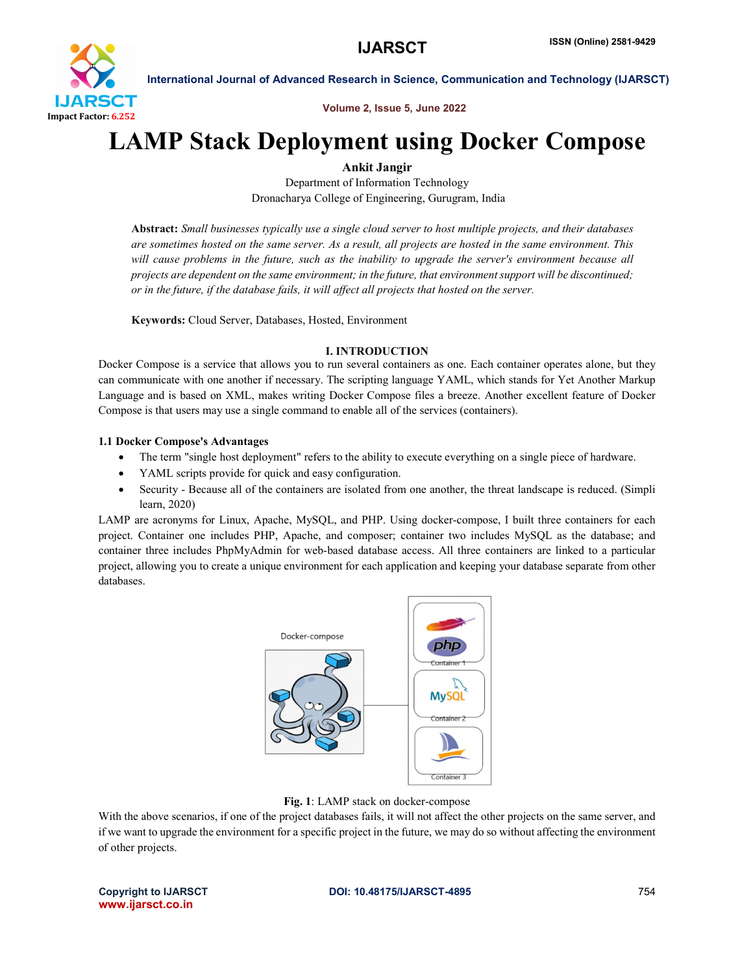

International Journal of Advanced Research in Science, Communication and Technology (IJARSCT)

Volume 2, Issue 5, June 2022

# LAMP Stack Deployment using Docker Compose

# Ankit Jangir

Department of Information Technology Dronacharya College of Engineering, Gurugram, India

Abstract: *Small businesses typically use a single cloud server to host multiple projects, and their databases are sometimes hosted on the same server. As a result, all projects are hosted in the same environment. This will cause problems in the future, such as the inability to upgrade the server's environment because all projects are dependent on the same environment; in the future, that environment support will be discontinued; or in the future, if the database fails, it will affect all projects that hosted on the server.*

Keywords: Cloud Server, Databases, Hosted, Environment

# I. INTRODUCTION

Docker Compose is a service that allows you to run several containers as one. Each container operates alone, but they can communicate with one another if necessary. The scripting language YAML, which stands for Yet Another Markup Language and is based on XML, makes writing Docker Compose files a breeze. Another excellent feature of Docker Compose is that users may use a single command to enable all of the services (containers).

# 1.1 Docker Compose's Advantages

- The term "single host deployment" refers to the ability to execute everything on a single piece of hardware.
- YAML scripts provide for quick and easy configuration.
- Security Because all of the containers are isolated from one another, the threat landscape is reduced. (Simpli learn, 2020)

LAMP are acronyms for Linux, Apache, MySQL, and PHP. Using docker-compose, I built three containers for each project. Container one includes PHP, Apache, and composer; container two includes MySQL as the database; and container three includes PhpMyAdmin for web-based database access. All three containers are linked to a particular project, allowing you to create a unique environment for each application and keeping your database separate from other databases.



Fig. 1: LAMP stack on docker-compose

With the above scenarios, if one of the project databases fails, it will not affect the other projects on the same server, and if we want to upgrade the environment for a specific project in the future, we may do so without affecting the environment of other projects.

www.ijarsct.co.in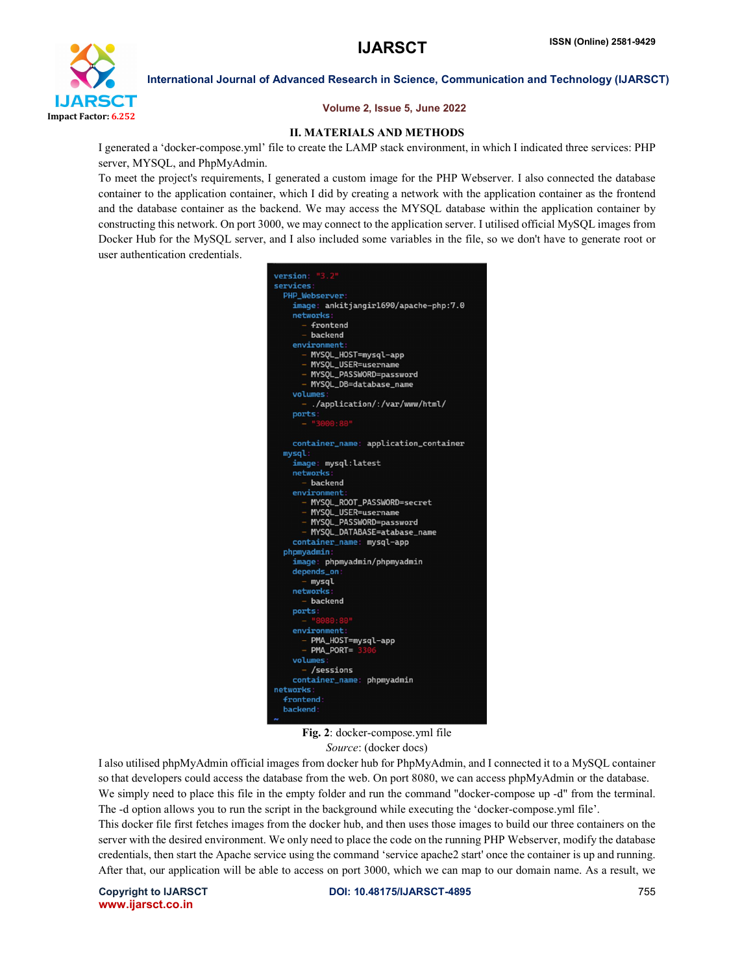

International Journal of Advanced Research in Science, Communication and Technology (IJARSCT)

#### Volume 2, Issue 5, June 2022

#### II. MATERIALS AND METHODS

I generated a 'docker-compose.yml' file to create the LAMP stack environment, in which I indicated three services: PHP server, MYSQL, and PhpMyAdmin.

To meet the project's requirements, I generated a custom image for the PHP Webserver. I also connected the database container to the application container, which I did by creating a network with the application container as the frontend and the database container as the backend. We may access the MYSQL database within the application container by constructing this network. On port 3000, we may connect to the application server. I utilised official MySQL images from Docker Hub for the MySQL server, and I also included some variables in the file, so we don't have to generate root or user authentication credentials.



Fig. 2: docker-compose.yml file *Source*: (docker docs)

I also utilised phpMyAdmin official images from docker hub for PhpMyAdmin, and I connected it to a MySQL container so that developers could access the database from the web. On port 8080, we can access phpMyAdmin or the database. We simply need to place this file in the empty folder and run the command "docker-compose up -d" from the terminal. The -d option allows you to run the script in the background while executing the 'docker-compose.yml file'.

This docker file first fetches images from the docker hub, and then uses those images to build our three containers on the server with the desired environment. We only need to place the code on the running PHP Webserver, modify the database credentials, then start the Apache service using the command 'service apache2 start' once the container is up and running. After that, our application will be able to access on port 3000, which we can map to our domain name. As a result, we

www.ijarsct.co.in